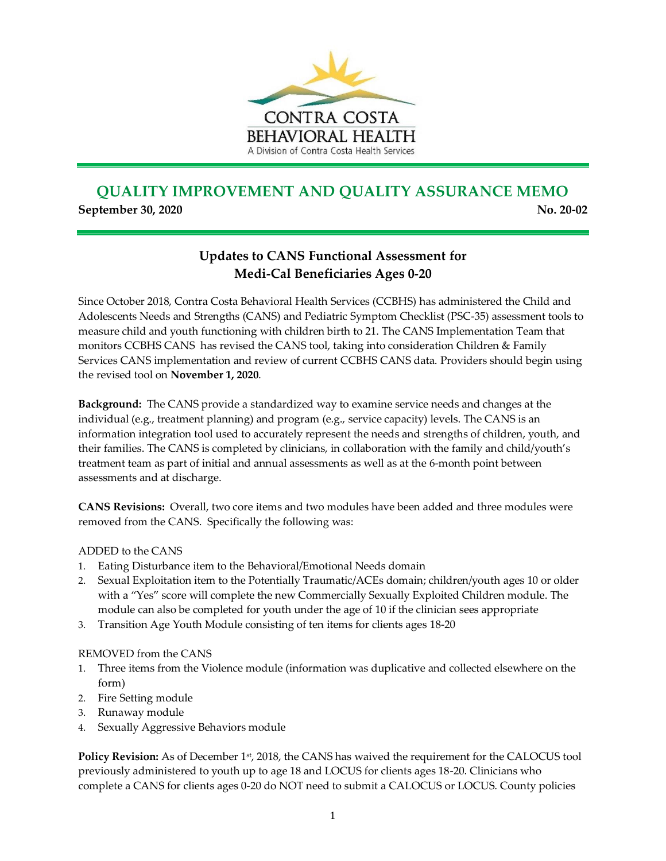

## **QUALITY IMPROVEMENT AND QUALITY ASSURANCE MEMO September 30, 2020** No. 2010 No. 2010 No. 2010 No. 2010 No. 2010 No. 2010 No. 2010 No. 2010 No. 2010 No. 2010 No

## **Updates to CANS Functional Assessment for Medi-Cal Beneficiaries Ages 0-20**

Since October 2018, Contra Costa Behavioral Health Services (CCBHS) has administered the Child and Adolescents Needs and Strengths (CANS) and Pediatric Symptom Checklist (PSC-35) assessment tools to measure child and youth functioning with children birth to 21. The CANS Implementation Team that monitors CCBHS CANS has revised the CANS tool, taking into consideration Children & Family Services CANS implementation and review of current CCBHS CANS data. Providers should begin using the revised tool on **November 1, 2020**.

**Background:** The CANS provide a standardized way to examine service needs and changes at the individual (e.g., treatment planning) and program (e.g., service capacity) levels. The CANS is an information integration tool used to accurately represent the needs and strengths of children, youth, and their families. The CANS is completed by clinicians, in collaboration with the family and child/youth's treatment team as part of initial and annual assessments as well as at the 6-month point between assessments and at discharge.

**CANS Revisions:** Overall, two core items and two modules have been added and three modules were removed from the CANS. Specifically the following was:

## ADDED to the CANS

- 1. Eating Disturbance item to the Behavioral/Emotional Needs domain
- 2. Sexual Exploitation item to the Potentially Traumatic/ACEs domain; children/youth ages 10 or older with a "Yes" score will complete the new Commercially Sexually Exploited Children module. The module can also be completed for youth under the age of 10 if the clinician sees appropriate
- 3. Transition Age Youth Module consisting of ten items for clients ages 18-20

## REMOVED from the CANS

- 1. Three items from the Violence module (information was duplicative and collected elsewhere on the form)
- 2. Fire Setting module
- 3. Runaway module
- 4. Sexually Aggressive Behaviors module

**Policy Revision:** As of December 1<sup>st</sup>, 2018, the CANS has waived the requirement for the CALOCUS tool previously administered to youth up to age 18 and LOCUS for clients ages 18-20. Clinicians who complete a CANS for clients ages 0-20 do NOT need to submit a CALOCUS or LOCUS. County policies